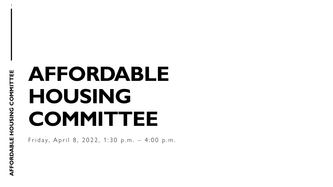# **AFFORDABLE HOUSING COMMITTEE**

Friday, April 8, 2022, 1:30 p.m. - 4:00 p.m.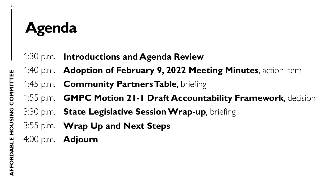## **Agenda**

- 1:30 p.m. **Introductions and Agenda Review**
- 1:40 p.m. **Adoption of February 9, 2022 Meeting Minutes**, action item
- 1:45 p.m. **Community Partners Table**, briefing
- 1:55 p.m. **GMPC Motion 21-1 Draft Accountability Framework**, decision
- 3:30 p.m. **State Legislative Session Wrap-up**, briefing
- 3:55 p.m. **Wrap Up and Next Steps**
- 4:00 p.m. **Adjourn**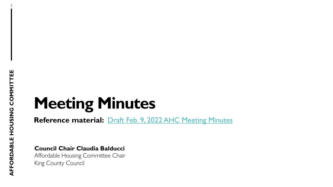3

## **Meeting Minutes**

**Reference material:** Draft Feb. 9, 2022 [AHC Meeting Minutes](https://kingcounty.gov/~/media/depts/community-human-services/housing-homelessness-community-development/documents/affordable-housing-committee/Meeting-04-08-22/Draft_AHC_Meeting_Minutes_2022,-d-,02,-d-,09.ashx?la=en)

**Council Chair Claudia Balducci**

Affordable Housing Committee Chair King County Council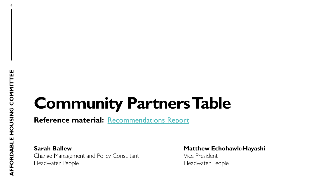4

## **Community Partners Table**

**Reference material:** [Recommendations Report](https://kingcounty.gov/~/media/depts/community-human-services/housing-homelessness-community-development/documents/affordable-housing-committee/Meeting-04-08-22/Community_Partners_Table_Recommendations_Report_2022,-d-,04,-d-,08.ashx?la=en)

**Sarah Ballew <b>Matthew Echohawk-Hayashi** Change Management and Policy Consultant The Mice President Headwater People **Headwater People**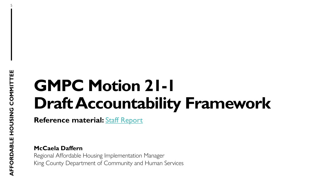5

## **GMPC Motion 21-1 Draft Accountability Framework**

**Reference material:** [Staff Report](https://kingcounty.gov/~/media/depts/community-human-services/housing-homelessness-community-development/documents/affordable-housing-committee/Meeting-04-08-22/AHCGMPCMotion211DraftAccountabilityFrameworkStaffReport20220401.ashx?la=en)

**McCaela Daffern** Regional Affordable Housing Implementation Manager

King County Department of Community and Human Services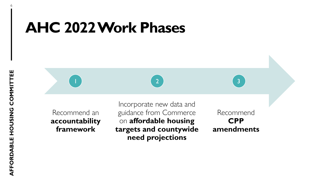## **AHC 2022 Work Phases**

Recommend an **accountability framework**

Incorporate new data and guidance from Commerce on **affordable housing targets and countywide need projections**

 $\begin{pmatrix} 1 \end{pmatrix}$  3

Recommend **CPP amendments**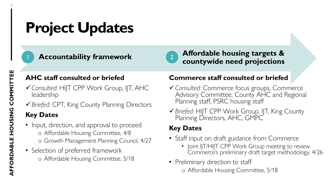## **Project Updates**



**Accountability framework Affordable housing targets &** countywide need projections

### **AHC staff consulted or briefed**

- ✓*Consulted:* HIJT CPP Work Group, IJT, AHC leadership
- ✓*Briefed*: CPT, King County Planning Directors

### **Key Dates**

- Input, direction, and approval to proceed o Affordable Housing Committee, 4/8 o Growth Management Planning Council, 4/27
- Selection of preferred framework o Affordable Housing Committee, 5/18

### **Commerce staff consulted or briefed**

- ✓*Consulted:* Commerce focus groups, Commerce Advisory Committee, County AHC and Regional Planning staff, PSRC housing staff
- ✓*Briefed:* HIJT CPP Work Group, IJT, King County Planning Directors, AHC, GMPC

### **Key Dates**

- Staff input on draft guidance from Commerce
	- Joint IJT/HIJT CPP Work Group meeting to review Commerce's preliminary draft target methodology, 4/26
- Preliminary direction to staff o Affordable Housing Committee, 5/18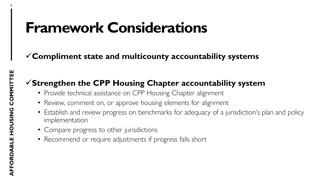## **Framework Considerations**

### ✓**Compliment state and multicounty accountability systems**

### ✓**Strengthen the CPP Housing Chapter accountability system**

- Provide technical assistance on CPP Housing Chapter alignment
- Review, comment on, or approve housing elements for alignment
- Establish and review progress on benchmarks for adequacy of a jurisdiction's plan and policy implementation
- Compare progress to other jurisdictions
- Recommend or require adjustments if progress falls short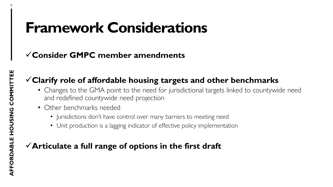## **Framework Considerations**

### ✓**Consider GMPC member amendments**

### ✓**Clarify role of affordable housing targets and other benchmarks**

- Changes to the GMA point to the need for jurisdictional targets linked to countywide need and redefined countywide need projection
- Other benchmarks needed
	- Jurisdictions don't have control over many barriers to meeting need
	- Unit production is a lagging indicator of effective policy implementation

### ✓**Articulate a full range of options in the first draft**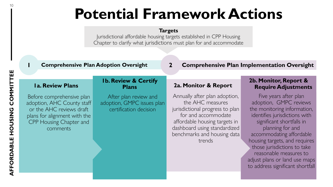## **Potential Framework Actions**

#### **Targets**

Jurisdictional affordable housing targets established in CPP Housing Chapter to clarify what jurisdictions must plan for and accommodate

#### **1 Comprehensive Plan Adoption Oversight**

**2 Comprehensive Plan Implementation Oversight**

#### **1a. Review Plans**

Before comprehensive plan adoption, AHC County staff or the AHC reviews draft plans for alignment with the CPP Housing Chapter and comments

#### **1b. Review & Certify Plans**

After plan review and adoption, GMPC issues plan certification decision

#### **2a. Monitor & Report**

Annually after plan adoption, the AHC measures jurisdictional progress to plan for and accommodate affordable housing targets in dashboard using standardized benchmarks and housing data trends

#### **2b. Monitor, Report & Require Adjustments**

Five years after plan adoption, GMPC reviews the monitoring information, identifies jurisdictions with significant shortfalls in planning for and accommodating affordable housing targets, and requires those jurisdictions to take reasonable measures to adjust plans or land use maps to address significant shortfall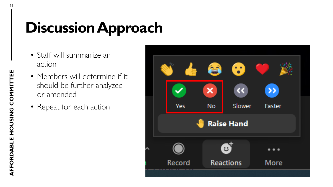## **Discussion Approach**

- Staff will summarize an action
- Members will determine if it should be further analyzed or amended
- Repeat for each action

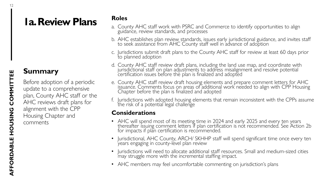## **1a. Review Plans**

### **Summary**

Before adoption of a periodic update to a comprehensive plan, County AHC staff or the AHC reviews draft plans for alignment with the CPP Housing Chapter and comments

#### **Roles**

- a. County AHC staff work with PSRC and Commerce to identify opportunities to align guidance, review standards, and processes
- b. AHC establishes plan review standards, issues early jurisdictional guidance, and invites staff to seek assistance from AHC County staff well in advance of adoption
- c. Jurisdictions submit draft plans to the County AHC staff for review at least 60 days prior to planned adoption
- d. County AHC staff review draft plans, including the land use map, and coordinate with jurisdictional staff on plan adjustments to address misalignment and resolve potential certification issues before the plan is finalized and adopted
- e. County AHC staff review draft housing elements and prepare comment letters for AHC issuance. Comments focus on areas of additional work needed to align with CPP Housing Chapter before the plan is finalized and adopted
- f. Jurisdictions with adopted housing elements that remain inconsistent with the CPPs assume the risk of a potential legal challenge

#### **Considerations**

- AHC will spend most of its meeting time in 2024 and early 2025 and every ten years thereafter issuing comment letters if plan certification is not recommended. See Action 2b for impacts if plan certification is recommended.
- Jurisdictional, AHC County, ARCH/ SKHHP staff will spend significant time once every ten years engaging in county-level plan review
- Jurisdictions will need to allocate additional staff resources. Small and medium-sized cities may struggle more with the incremental staffing impact.
- AHC members may feel uncomfortable commenting on jurisdiction's plans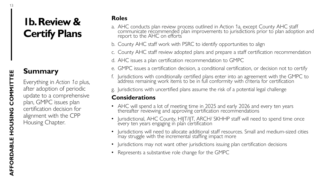## **1b. Review & Certify Plans**

### **Summary**

Everything in *Action 1a* plus, after adoption of periodic update to a comprehensive plan, GMPC issues plan certification decision for alignment with the CPP Housing Chapter.

#### **Roles**

- a. AHC conducts plan review process outlined in Action 1a, except County AHC staff communicate recommended plan improvements to jurisdictions prior to plan adoption and report to the AHC on efforts
- b. County AHC staff work with PSRC to identify opportunities to align
- c. County AHC staff review adopted plans and prepare a staff certification recommendation
- d. AHC issues a plan certification recommendation to GMPC
- e. GMPC issues a certification decision, a conditional certification, or decision not to certify
- f. Jurisdictions with conditionally certified plans enter into an agreement with the GMPC to address remaining work items to be in full conformity with criteria for certification
- g. Jurisdictions with uncertified plans assume the risk of a potential legal challenge

#### **Considerations**

- AHC will spend a lot of meeting time in 2025 and early 2026 and every ten years thereafter reviewing and approving certification recommendations
- Jurisdictional, AHC County, HIJT/IJT, ARCH/ SKHHP staff will need to spend time once every ten years engaging in plan certification
- Jurisdictions will need to allocate additional staff resources. Small and medium-sized cities may struggle with the incremental staffing impact more
- Jurisdictions may not want other jurisdictions issuing plan certification decisions
- Represents a substantive role change for the GMPC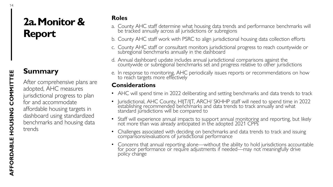## **2a. Monitor & Report**

### **Summary**

After comprehensive plans are adopted, AHC measures jurisdictional progress to plan for and accommodate affordable housing targets in dashboard using standardized benchmarks and housing data trends

#### **Roles**

- a. County AHC staff determine what housing data trends and performance benchmarks will be tracked annually across all jurisdictions or subregions
- b. County AHC staff work with PSRC to align jurisdictional housing data collection efforts
- c. County AHC staff or consultant monitors jurisdictional progress to reach countywide or subregional benchmarks annually in the dashboard
- d. Annual dashboard update includes annual jurisdictional comparisons against the countywide or subregional benchmarks set and progress relative to other jurisdictions
- e. In response to monitoring, AHC periodically issues reports or recommendations on how to reach targets more effectively

#### **Considerations**

- AHC will spend time in 2022 deliberating and setting benchmarks and data trends to track
- Jurisdictional, AHC County, HIJT/IJT, ARCH/ SKHHP staff will need to spend time in 2022 establishing recommended benchmarks and data trends to track annually and what standard jurisdictions will be compared to
- Staff will experience annual impacts to support annual monitoring and reporting, but likely not more than was already anticipated in the adopted 2021 CPPs
- Challenges associated with deciding on benchmarks and data trends to track and issuing comparisons/evaluations of jurisdictional performance
- Concerns that annual reporting alone—without the ability to hold jurisdictions accountable for poor performance or require adjustments if needed—may not meaningfully drive policy change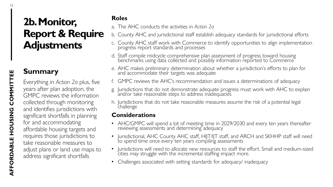### **Summary**

Everything in *Action 2a* plus, five years after plan adoption, the GMPC reviews the information collected through monitoring and identifies jurisdictions with significant shortfalls in planning for and accommodating affordable housing targets and requires those jurisdictions to take reasonable measures to adjust plans or land use maps to address significant shortfalls

#### **Roles**

- a. The AHC conducts the activities in *Action 2a*
- b. County AHC and jurisdictional staff establish adequacy standards for jurisdictional efforts
	- c. County AHC staff work with Commerce to identify opportunities to align implementation progress report standards and processes
	- d. Staff compile midcycle comprehensive plan assessment of progress toward housing benchmarks using data collected and possibly information reported to Commerce
	- e. AHC makes preliminary determination about whether a jurisdiction's efforts to plan for and accommodate their targets was adequate
- f. GMPC reviews the AHC's recommendation and issues a determinations of adequacy
- g. Jurisdictions that do not demonstrate adequate progress must work with AHC to explain and/or take reasonable steps to address in $\stackrel{\text{'}}{\text{a}}$ dequ $\stackrel{\text{'}}{\text{a}}$ cies
- h. Jurisdictions that do not take reasonable measures assume the risk of a potential legal challenge

#### **Considerations**

- AHC/GMPC will spend a lot of meeting time in 2029/2030 and every ten years thereafter reviewing assessments and determining adequacy
- Jurisdictional, AHC County AHC staff, HIJT/IJT staff, and ARCH and SKHHP staff will need to spend time once every ten years compiling assessments
- Jurisdictions will need to allocate new resources to staff the effort. Small and medium-sized cities may struggle with the incremental staffing impact more.
- Challenges associated with setting standards for adequacy/ inadequacy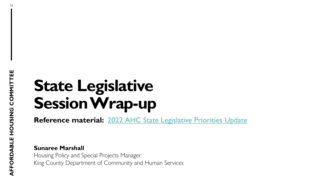## **State Legislative Session Wrap-up**

**Reference material:** 2022 [AHC State Legislative Priorities Update](https://kingcounty.gov/~/media/depts/community-human-services/housing-homelessness-community-development/documents/affordable-housing-committee/Meeting-04-08-22/AHC_State_Legislative_Agenda_Memo_2022,-d-,04,-d-,08.ashx?la=en)

**Sunaree Marshall**

Housing Policy and Special Projects Manager King County Department of Community and Human Services